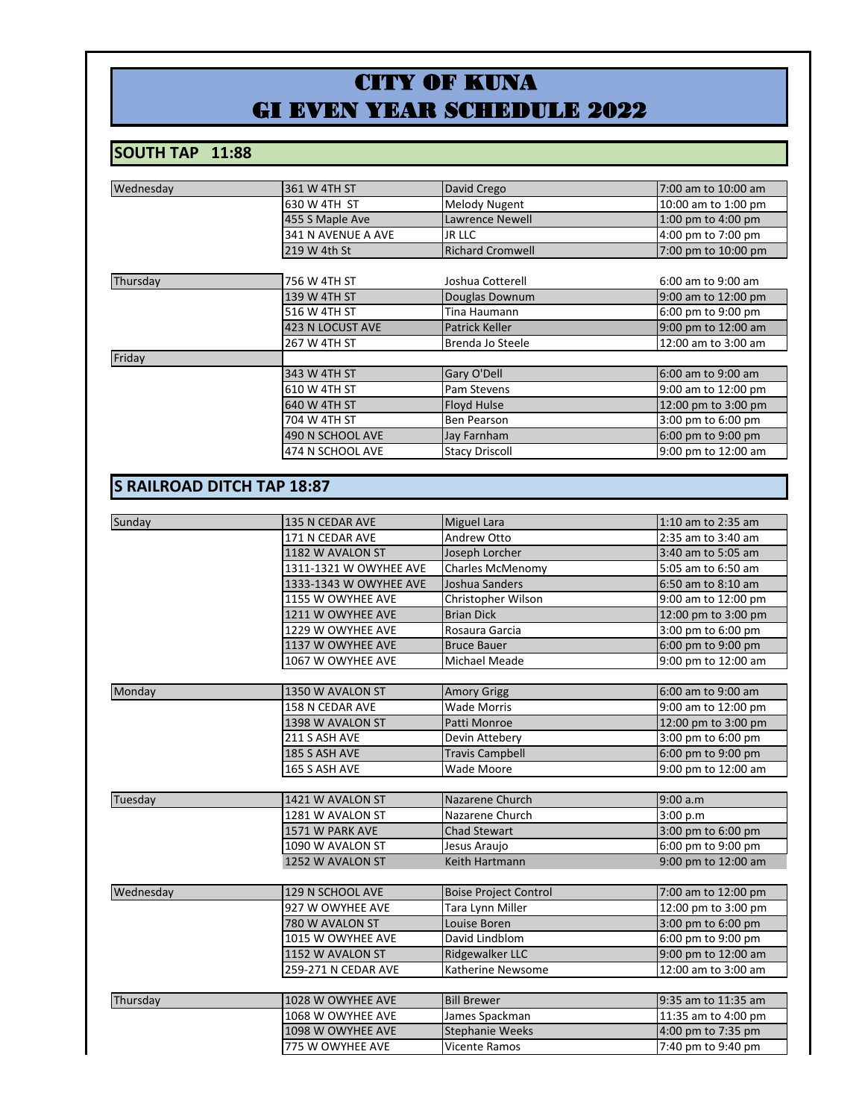## CITY OF KUNA GI EVEN YEAR SCHEDULE 2022

## **SOUTH TAP 11:88**

| Wednesday                         | 361 W 4TH ST           | David Crego                  | 7:00 am to 10:00 am |
|-----------------------------------|------------------------|------------------------------|---------------------|
|                                   | 630 W 4TH ST           | Melody Nugent                | 10:00 am to 1:00 pm |
|                                   | 455 S Maple Ave        | Lawrence Newell              | 1:00 pm to 4:00 pm  |
|                                   | 341 N AVENUE A AVE     | JR LLC                       | 4:00 pm to 7:00 pm  |
|                                   | 219 W 4th St           | <b>Richard Cromwell</b>      | 7:00 pm to 10:00 pm |
| Thursday                          | 756 W 4TH ST           | Joshua Cotterell             | 6:00 am to 9:00 am  |
|                                   | 139 W 4TH ST           | Douglas Downum               | 9:00 am to 12:00 pm |
|                                   | 516 W 4TH ST           | Tina Haumann                 | 6:00 pm to 9:00 pm  |
|                                   | 423 N LOCUST AVE       | Patrick Keller               | 9:00 pm to 12:00 am |
|                                   | 267 W 4TH ST           | Brenda Jo Steele             | 12:00 am to 3:00 am |
| Friday                            |                        |                              |                     |
|                                   | 343 W 4TH ST           | Gary O'Dell                  | 6:00 am to 9:00 am  |
|                                   | 610 W 4TH ST           | Pam Stevens                  | 9:00 am to 12:00 pm |
|                                   | 640 W 4TH ST           | Floyd Hulse                  | 12:00 pm to 3:00 pm |
|                                   | 704 W 4TH ST           | Ben Pearson                  | 3:00 pm to 6:00 pm  |
|                                   | 490 N SCHOOL AVE       | Jay Farnham                  | 6:00 pm to 9:00 pm  |
|                                   | 474 N SCHOOL AVE       | <b>Stacy Driscoll</b>        | 9:00 pm to 12:00 am |
|                                   |                        |                              |                     |
| <b>S RAILROAD DITCH TAP 18:87</b> |                        |                              |                     |
|                                   |                        |                              |                     |
| Sunday                            | 135 N CEDAR AVE        | Miguel Lara                  | 1:10 am to 2:35 am  |
|                                   | 171 N CEDAR AVE        | Andrew Otto                  | 2:35 am to 3:40 am  |
|                                   | 1182 W AVALON ST       | Joseph Lorcher               | 3:40 am to 5:05 am  |
|                                   | 1311-1321 W OWYHEE AVE | Charles McMenomy             | 5:05 am to 6:50 am  |
|                                   | 1333-1343 W OWYHEE AVE | Joshua Sanders               | 6:50 am to 8:10 am  |
|                                   | 1155 W OWYHEE AVE      | Christopher Wilson           | 9:00 am to 12:00 pm |
|                                   | 1211 W OWYHEE AVE      | <b>Brian Dick</b>            | 12:00 pm to 3:00 pm |
|                                   | 1229 W OWYHEE AVE      | Rosaura Garcia               | 3:00 pm to 6:00 pm  |
|                                   | 1137 W OWYHEE AVE      | <b>Bruce Bauer</b>           | 6:00 pm to 9:00 pm  |
|                                   | 1067 W OWYHEE AVE      | Michael Meade                | 9:00 pm to 12:00 am |
| Monday                            | 1350 W AVALON ST       | <b>Amory Grigg</b>           | 6:00 am to 9:00 am  |
|                                   | 158 N CEDAR AVE        | Wade Morris                  | 9:00 am to 12:00 pm |
|                                   | 1398 W AVALON ST       | Patti Monroe                 | 12:00 pm to 3:00 pm |
|                                   | 211 S ASH AVE          | Devin Attebery               | 3:00 pm to 6:00 pm  |
|                                   | 185 S ASH AVE          | <b>Travis Campbell</b>       | 6:00 pm to 9:00 pm  |
|                                   | 165 S ASH AVE          | Wade Moore                   | 9:00 pm to 12:00 am |
|                                   |                        |                              |                     |
| Tuesday                           | 1421 W AVALON ST       | Nazarene Church              | 9:00 a.m            |
|                                   | 1281 W AVALON ST       | Nazarene Church              | 3:00 p.m            |
|                                   | 1571 W PARK AVE        | <b>Chad Stewart</b>          | 3:00 pm to 6:00 pm  |
|                                   | 1090 W AVALON ST       | Jesus Araujo                 | 6:00 pm to 9:00 pm  |
|                                   | 1252 W AVALON ST       | Keith Hartmann               | 9:00 pm to 12:00 am |
| Wednesday                         | 129 N SCHOOL AVE       | <b>Boise Project Control</b> | 7:00 am to 12:00 pm |
|                                   | 927 W OWYHEE AVE       | Tara Lynn Miller             | 12:00 pm to 3:00 pm |
|                                   | 780 W AVALON ST        | Louise Boren                 | 3:00 pm to 6:00 pm  |
|                                   | 1015 W OWYHEE AVE      | David Lindblom               | 6:00 pm to 9:00 pm  |
|                                   | 1152 W AVALON ST       | Ridgewalker LLC              | 9:00 pm to 12:00 am |
|                                   | 259-271 N CEDAR AVE    | Katherine Newsome            | 12:00 am to 3:00 am |
|                                   |                        |                              |                     |
| Thursday                          | 1028 W OWYHEE AVE      | <b>Bill Brewer</b>           | 9:35 am to 11:35 am |
|                                   | 1068 W OWYHEE AVE      | James Spackman               | 11:35 am to 4:00 pm |
|                                   | 1098 W OWYHEE AVE      | <b>Stephanie Weeks</b>       | 4:00 pm to 7:35 pm  |
|                                   | 775 W OWYHEE AVE       | Vicente Ramos                | 7:40 pm to 9:40 pm  |